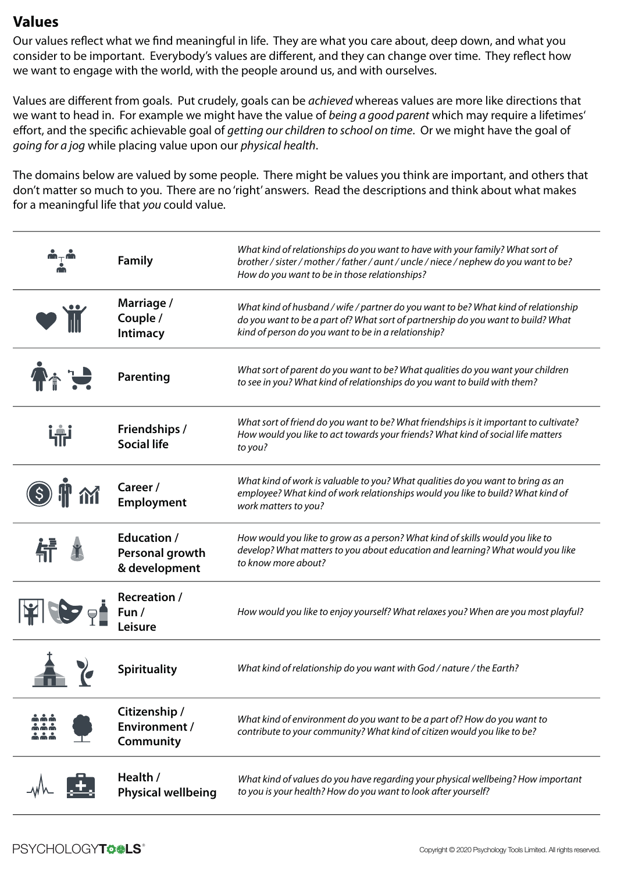Our values reflect what we find meaningful in life. They are what you care about, deep down, and what you consider to be important. Everybody's values are different, and they can change over time. They reflect how we want to engage with the world, with the people around us, and with ourselves.

Values are different from goals. Put crudely, goals can be *achieved* whereas values are more like directions that we want to head in. For example we might have the value of *being a good parent* which may require a lifetimes' effort, and the specific achievable goal of *getting our children to school on time*. Or we might have the goal of *going for a jog* while placing value upon our *physical health*.

The domains below are valued by some people. There might be values you think are important, and others that don't matter so much to you. There are no 'right' answers. Read the descriptions and think about what makes for a meaningful life that *you* could value.

|   | <b>Family</b>                                             | What kind of relationships do you want to have with your family? What sort of<br>brother / sister / mother / father / aunt / uncle / niece / nephew do you want to be?<br>How do you want to be in those relationships?       |  |  |
|---|-----------------------------------------------------------|-------------------------------------------------------------------------------------------------------------------------------------------------------------------------------------------------------------------------------|--|--|
|   | Marriage /<br>Couple /<br>Intimacy                        | What kind of husband / wife / partner do you want to be? What kind of relationship<br>do you want to be a part of? What sort of partnership do you want to build? What<br>kind of person do you want to be in a relationship? |  |  |
|   | Parenting                                                 | What sort of parent do you want to be? What qualities do you want your children<br>to see in you? What kind of relationships do you want to build with them?                                                                  |  |  |
| 帝 | <b>Friendships /</b><br><b>Social life</b>                | What sort of friend do you want to be? What friendships is it important to cultivate?<br>How would you like to act towards your friends? What kind of social life matters<br>to you?                                          |  |  |
|   | Career /<br><b>Employment</b>                             | What kind of work is valuable to you? What qualities do you want to bring as an<br>employee? What kind of work relationships would you like to build? What kind of<br>work matters to you?                                    |  |  |
|   | <b>Education</b> /<br>Personal growth<br>& development    | How would you like to grow as a person? What kind of skills would you like to<br>develop? What matters to you about education and learning? What would you like<br>to know more about?                                        |  |  |
|   | <b>Recreation /</b><br>Fun /<br>Leisure                   | How would you like to enjoy yourself? What relaxes you? When are you most playful?                                                                                                                                            |  |  |
|   | <b>Spirituality</b>                                       | What kind of relationship do you want with God / nature / the Earth?                                                                                                                                                          |  |  |
|   | Citizenship /<br><b>Environment /</b><br><b>Community</b> | What kind of environment do you want to be a part of? How do you want to<br>contribute to your community? What kind of citizen would you like to be?                                                                          |  |  |
|   | Health /<br><b>Physical wellbeing</b>                     | What kind of values do you have regarding your physical wellbeing? How important<br>to you is your health? How do you want to look after yourself?                                                                            |  |  |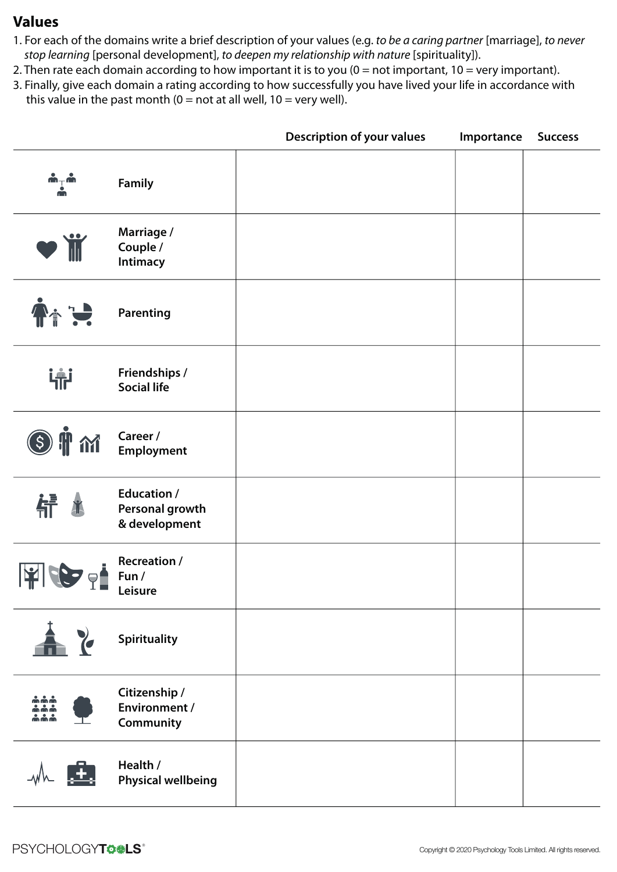- 1. For each of the domains write a brief description of your values (e.g. *to be a caring partner* [marriage], *to never stop learning* [personal development], *to deepen my relationship with nature* [spirituality]).
- 2. Then rate each domain according to how important it is to you (0 = not important, 10 = very important).
- 3. Finally, give each domain a rating according to how successfully you have lived your life in accordance with this value in the past month ( $0 =$  not at all well,  $10 =$  very well).

|                                                                   |                                                        | <b>Description of your values</b> | Importance | <b>Success</b> |
|-------------------------------------------------------------------|--------------------------------------------------------|-----------------------------------|------------|----------------|
| $\mathbf{w}^\perp$ w                                              | <b>Family</b>                                          |                                   |            |                |
| VÏ                                                                | Marriage /<br>Couple /<br>Intimacy                     |                                   |            |                |
| $\blacklozenge$                                                   | Parenting                                              |                                   |            |                |
| 审                                                                 | Friendships /<br><b>Social life</b>                    |                                   |            |                |
| $\mathbf{\tilde{J}}$ $\mathbf{\tilde{M}}$<br>$\left( \xi \right)$ | Career /<br><b>Employment</b>                          |                                   |            |                |
| 战                                                                 | <b>Education /</b><br>Personal growth<br>& development |                                   |            |                |
|                                                                   | <b>Recreation /</b><br>Fun /<br>Leisure                |                                   |            |                |
| 土る                                                                | Spirituality                                           |                                   |            |                |
| $\mathbf{\hat{m}}$ $\mathbf{\hat{m}}$ $\mathbf{\hat{m}}$          | Citizenship /<br><b>Environment /</b><br>Community     |                                   |            |                |
| $M = 1$                                                           | Health /<br><b>Physical wellbeing</b>                  |                                   |            |                |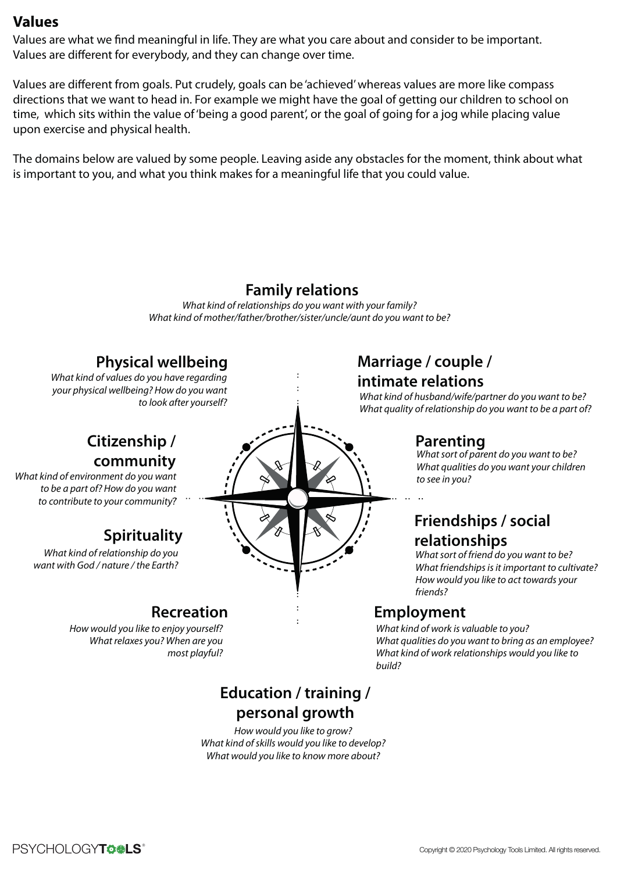Values are what we find meaningful in life. They are what you care about and consider to be important. Values are different for everybody, and they can change over time.

Values are different from goals. Put crudely, goals can be 'achieved' whereas values are more like compass directions that we want to head in. For example we might have the goal of getting our children to school on time, which sits within the value of 'being a good parent', or the goal of going for a jog while placing value upon exercise and physical health.

The domains below are valued by some people. Leaving aside any obstacles for the moment, think about what is important to you, and what you think makes for a meaningful life that you could value.

## **Family relations**

*What kind of relationships do you want with your family? What kind of mother/father/brother/sister/uncle/aunt do you want to be?*

## **Physical wellbeing**

*What kind of values do you have regarding your physical wellbeing? How do you want to look after yourself?*

# **Citizenship / community**

*What kind of environment do you want to be a part of? How do you want to contribute to your community?*

# **Spirituality**

*What kind of relationship do you want with God / nature / the Earth?*

# **Recreation**

*How would you like to enjoy yourself? What relaxes you? When are you most playful?*

# *What quality of relationship do you want to be a part of?*

# **Employment**

*friends?*

**Marriage / couple / intimate relations**

**Parenting**

*to see in you?*

*What kind of work is valuable to you? What qualities do you want to bring as an employee? What kind of work relationships would you like to build?*

**Friendships / social**

*What sort of friend do you want to be? What friendships is it important to cultivate? How would you like to act towards your* 

*What sort of parent do you want to be? What qualities do you want your children* 

*What kind of husband/wife/partner do you want to be?*

**relationships**

# **Education / training / personal growth**

*How would you like to grow? What kind of skills would you like to develop? What would you like to know more about?*

PSYCHOLOGY**TO & LS**